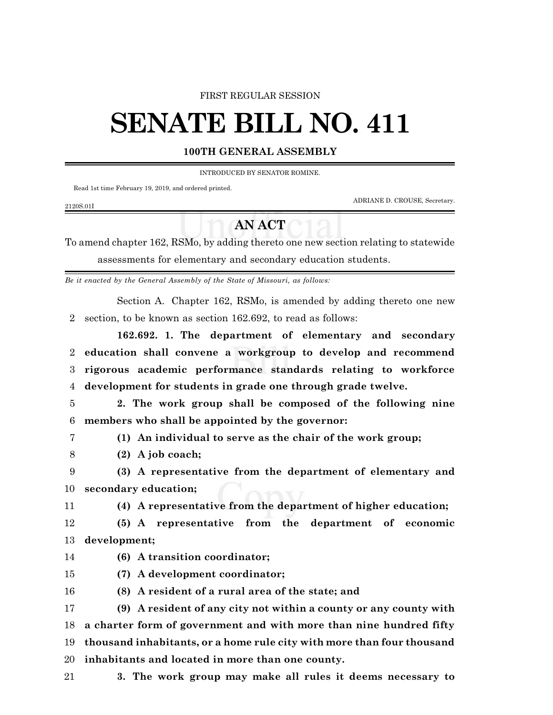## FIRST REGULAR SESSION

## **SENATE BILL NO. 411**

## **100TH GENERAL ASSEMBLY**

INTRODUCED BY SENATOR ROMINE.

Read 1st time February 19, 2019, and ordered printed.

ADRIANE D. CROUSE, Secretary.

## **AN ACT**

To amend chapter 162, RSMo, by adding thereto one new section relating to statewide assessments for elementary and secondary education students.

*Be it enacted by the General Assembly of the State of Missouri, as follows:*

Section A. Chapter 162, RSMo, is amended by adding thereto one new section, to be known as section 162.692, to read as follows:

**162.692. 1. The department of elementary and secondary education shall convene a workgroup to develop and recommend rigorous academic performance standards relating to workforce development for students in grade one through grade twelve.**

 **2. The work group shall be composed of the following nine members who shall be appointed by the governor:**

2120S.01I

**(1) An individual to serve as the chair of the work group;**

**(2) A job coach;**

 **(3) A representative from the department of elementary and secondary education;**

**(4) A representative from the department of higher education;**

 **(5) A representative from the department of economic development;**

**(6) A transition coordinator;**

 **(7) A development coordinator; (8) A resident of a rural area of the state; and**

 **(9) A resident of any city not within a county or any county with a charter form of government and with more than nine hundred fifty thousand inhabitants, or a home rule city with more than four thousand inhabitants and located in more than one county.**

**3. The work group may make all rules it deems necessary to**